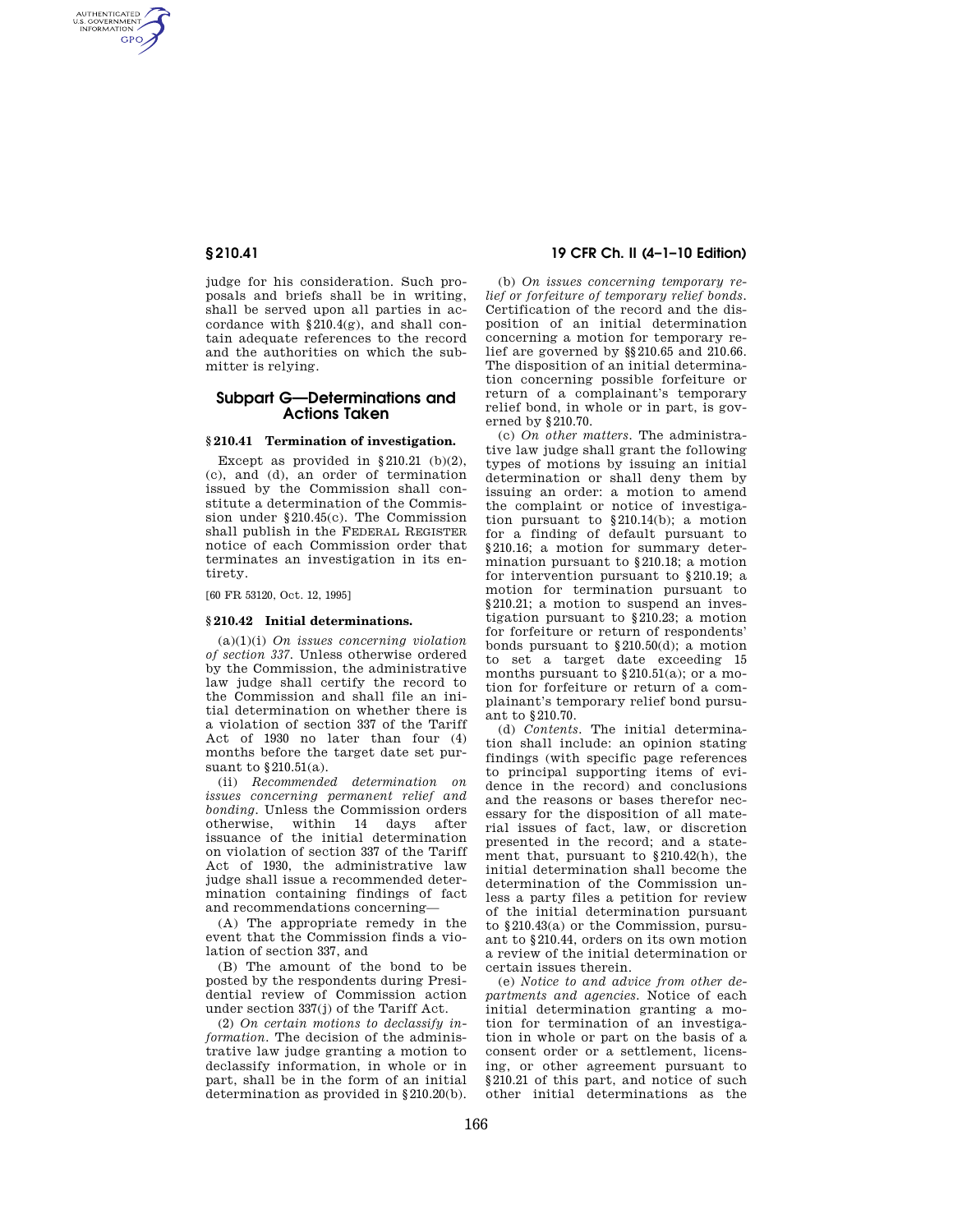AUTHENTICATED<br>U.S. GOVERNMENT<br>INFORMATION GPO

> judge for his consideration. Such proposals and briefs shall be in writing, shall be served upon all parties in accordance with §210.4(g), and shall contain adequate references to the record and the authorities on which the submitter is relying.

# **Subpart G—Determinations and Actions Taken**

### **§ 210.41 Termination of investigation.**

Except as provided in  $§210.21$  (b)(2), (c), and (d), an order of termination issued by the Commission shall constitute a determination of the Commission under §210.45(c). The Commission shall publish in the FEDERAL REGISTER notice of each Commission order that terminates an investigation in its entirety.

[60 FR 53120, Oct. 12, 1995]

## **§ 210.42 Initial determinations.**

(a)(1)(i) *On issues concerning violation of section 337.* Unless otherwise ordered by the Commission, the administrative law judge shall certify the record to the Commission and shall file an initial determination on whether there is a violation of section 337 of the Tariff Act of 1930 no later than four (4) months before the target date set pursuant to §210.51(a).

(ii) *Recommended determination on issues concerning permanent relief and bonding.* Unless the Commission orders otherwise. within 14 days after otherwise, within 14 days issuance of the initial determination on violation of section 337 of the Tariff Act of 1930, the administrative law judge shall issue a recommended determination containing findings of fact and recommendations concerning—

(A) The appropriate remedy in the event that the Commission finds a violation of section 337, and

(B) The amount of the bond to be posted by the respondents during Presidential review of Commission action under section 337(j) of the Tariff Act.

(2) *On certain motions to declassify information.* The decision of the administrative law judge granting a motion to declassify information, in whole or in part, shall be in the form of an initial determination as provided in §210.20(b).

**§ 210.41 19 CFR Ch. II (4–1–10 Edition)** 

(b) *On issues concerning temporary relief or forfeiture of temporary relief bonds.*  Certification of the record and the disposition of an initial determination concerning a motion for temporary relief are governed by §§210.65 and 210.66. The disposition of an initial determination concerning possible forfeiture or return of a complainant's temporary relief bond, in whole or in part, is governed by §210.70.

(c) *On other matters.* The administrative law judge shall grant the following types of motions by issuing an initial determination or shall deny them by issuing an order: a motion to amend the complaint or notice of investigation pursuant to §210.14(b); a motion for a finding of default pursuant to §210.16; a motion for summary determination pursuant to §210.18; a motion for intervention pursuant to §210.19; a motion for termination pursuant to §210.21; a motion to suspend an investigation pursuant to §210.23; a motion for forfeiture or return of respondents' bonds pursuant to §210.50(d); a motion to set a target date exceeding 15 months pursuant to §210.51(a); or a motion for forfeiture or return of a complainant's temporary relief bond pursuant to §210.70.

(d) *Contents.* The initial determination shall include: an opinion stating findings (with specific page references to principal supporting items of evidence in the record) and conclusions and the reasons or bases therefor necessary for the disposition of all material issues of fact, law, or discretion presented in the record; and a statement that, pursuant to §210.42(h), the initial determination shall become the determination of the Commission unless a party files a petition for review of the initial determination pursuant to §210.43(a) or the Commission, pursuant to §210.44, orders on its own motion a review of the initial determination or certain issues therein.

(e) *Notice to and advice from other departments and agencies.* Notice of each initial determination granting a motion for termination of an investigation in whole or part on the basis of a consent order or a settlement, licensing, or other agreement pursuant to §210.21 of this part, and notice of such other initial determinations as the